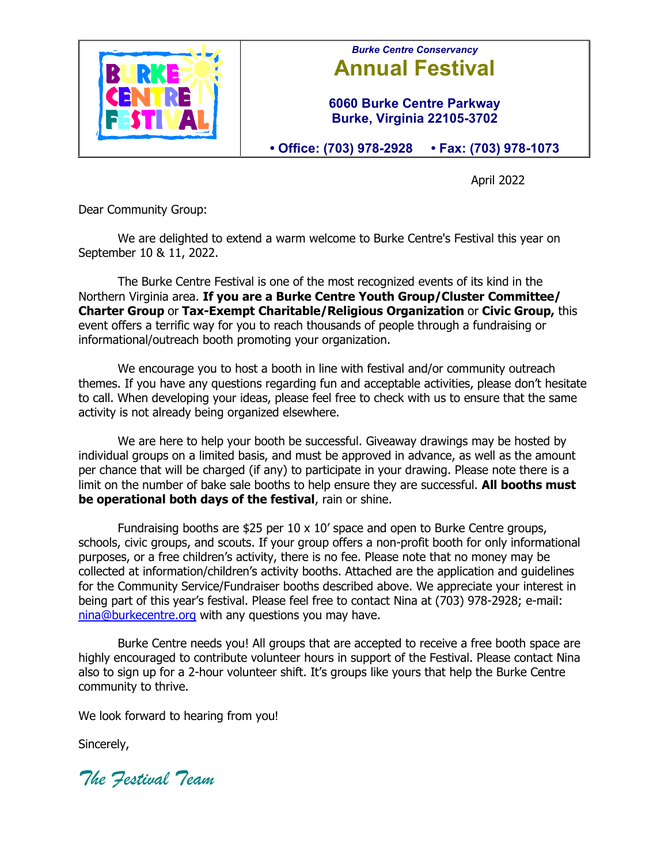

## *Burke Centre Conservancy* **Annual Festival**

**6060 Burke Centre Parkway Burke, Virginia 22105-3702**

**• Office: (703) 978-2928 • Fax: (703) 978-1073**

April 2022

Dear Community Group:

We are delighted to extend a warm welcome to Burke Centre's Festival this year on September 10 & 11, 2022.

The Burke Centre Festival is one of the most recognized events of its kind in the Northern Virginia area. **If you are a Burke Centre Youth Group/Cluster Committee/ Charter Group** or **Tax-Exempt Charitable/Religious Organization** or **Civic Group,** this event offers a terrific way for you to reach thousands of people through a fundraising or informational/outreach booth promoting your organization.

We encourage you to host a booth in line with festival and/or community outreach themes. If you have any questions regarding fun and acceptable activities, please don't hesitate to call. When developing your ideas, please feel free to check with us to ensure that the same activity is not already being organized elsewhere.

We are here to help your booth be successful. Giveaway drawings may be hosted by individual groups on a limited basis, and must be approved in advance, as well as the amount per chance that will be charged (if any) to participate in your drawing. Please note there is a limit on the number of bake sale booths to help ensure they are successful. **All booths must be operational both days of the festival**, rain or shine.

Fundraising booths are \$25 per 10 x 10' space and open to Burke Centre groups, schools, civic groups, and scouts. If your group offers a non-profit booth for only informational purposes, or a free children's activity, there is no fee. Please note that no money may be collected at information/children's activity booths. Attached are the application and guidelines for the Community Service/Fundraiser booths described above. We appreciate your interest in being part of this year's festival. Please feel free to contact Nina at (703) 978-2928; e-mail: nina@burkecentre.org with any questions you may have.

Burke Centre needs you! All groups that are accepted to receive a free booth space are highly encouraged to contribute volunteer hours in support of the Festival. Please contact Nina also to sign up for a 2-hour volunteer shift. It's groups like yours that help the Burke Centre community to thrive.

We look forward to hearing from you!

Sincerely,

*The Festival Team*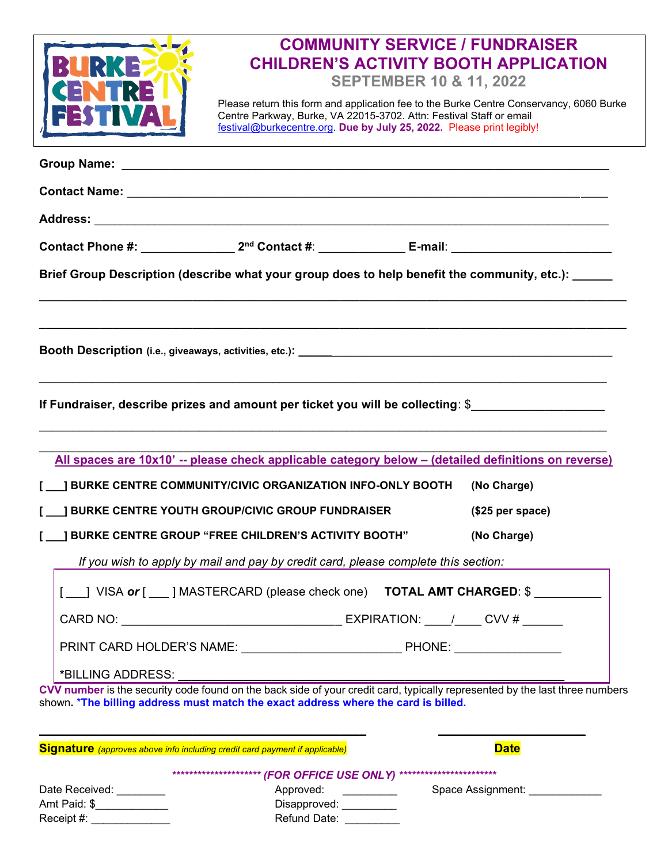|                                                                                    | <b>COMMUNITY SERVICE / FUNDRAISER</b>                                                                                       |                                  |
|------------------------------------------------------------------------------------|-----------------------------------------------------------------------------------------------------------------------------|----------------------------------|
|                                                                                    | <b>CHILDREN'S ACTIVITY BOOTH APPLICATION</b>                                                                                |                                  |
|                                                                                    |                                                                                                                             |                                  |
|                                                                                    | <b>SEPTEMBER 10 &amp; 11, 2022</b>                                                                                          |                                  |
|                                                                                    | Please return this form and application fee to the Burke Centre Conservancy, 6060 Burke                                     |                                  |
|                                                                                    | Centre Parkway, Burke, VA 22015-3702. Attn: Festival Staff or email                                                         |                                  |
|                                                                                    | festival@burkecentre.org. Due by July 25, 2022. Please print legibly!                                                       |                                  |
|                                                                                    |                                                                                                                             |                                  |
|                                                                                    |                                                                                                                             |                                  |
|                                                                                    |                                                                                                                             |                                  |
|                                                                                    |                                                                                                                             |                                  |
|                                                                                    |                                                                                                                             |                                  |
|                                                                                    |                                                                                                                             |                                  |
|                                                                                    |                                                                                                                             |                                  |
|                                                                                    |                                                                                                                             |                                  |
|                                                                                    |                                                                                                                             |                                  |
|                                                                                    | Brief Group Description (describe what your group does to help benefit the community, etc.):                                |                                  |
|                                                                                    |                                                                                                                             |                                  |
|                                                                                    |                                                                                                                             |                                  |
|                                                                                    |                                                                                                                             |                                  |
|                                                                                    |                                                                                                                             |                                  |
|                                                                                    |                                                                                                                             |                                  |
|                                                                                    |                                                                                                                             |                                  |
|                                                                                    |                                                                                                                             |                                  |
|                                                                                    |                                                                                                                             |                                  |
|                                                                                    | If Fundraiser, describe prizes and amount per ticket you will be collecting: \$                                             |                                  |
|                                                                                    |                                                                                                                             |                                  |
|                                                                                    |                                                                                                                             |                                  |
|                                                                                    |                                                                                                                             |                                  |
|                                                                                    | All spaces are 10x10' -- please check applicable category below - (detailed definitions on reverse)                         |                                  |
|                                                                                    |                                                                                                                             |                                  |
|                                                                                    | <b>J BURKE CENTRE COMMUNITY/CIVIC ORGANIZATION INFO-ONLY BOOTH</b>                                                          | (No Charge)                      |
|                                                                                    |                                                                                                                             |                                  |
|                                                                                    | <b>J BURKE CENTRE YOUTH GROUP/CIVIC GROUP FUNDRAISER</b>                                                                    | (\$25 per space)                 |
|                                                                                    | <b>I BURKE CENTRE GROUP "FREE CHILDREN'S ACTIVITY BOOTH"</b>                                                                | (No Charge)                      |
|                                                                                    |                                                                                                                             |                                  |
|                                                                                    | If you wish to apply by mail and pay by credit card, please complete this section:                                          |                                  |
|                                                                                    |                                                                                                                             |                                  |
|                                                                                    | [ ] VISA or [ ] MASTERCARD (please check one) <b>TOTAL AMT CHARGED</b> : \$                                                 |                                  |
|                                                                                    |                                                                                                                             |                                  |
|                                                                                    |                                                                                                                             |                                  |
|                                                                                    |                                                                                                                             |                                  |
|                                                                                    | PRINT CARD HOLDER'S NAME: PHONE: PHONE:                                                                                     |                                  |
|                                                                                    |                                                                                                                             |                                  |
| *BILLING ADDRESS:                                                                  |                                                                                                                             |                                  |
|                                                                                    | CVV number is the security code found on the back side of your credit card, typically represented by the last three numbers |                                  |
|                                                                                    | shown. *The billing address must match the exact address where the card is billed.                                          |                                  |
|                                                                                    |                                                                                                                             |                                  |
|                                                                                    |                                                                                                                             |                                  |
|                                                                                    |                                                                                                                             |                                  |
| <b>Signature</b> (approves above info including credit card payment if applicable) |                                                                                                                             | <b>Date</b>                      |
|                                                                                    |                                                                                                                             |                                  |
|                                                                                    | ***************** (FOR OFFICE USE ONLY) ************************                                                            |                                  |
| Date Received: ________                                                            | Approved:                                                                                                                   | Space Assignment: ______________ |
| Amt Paid: \$______________                                                         | Disapproved:                                                                                                                |                                  |
| Receipt #:                                                                         | Refund Date:                                                                                                                |                                  |